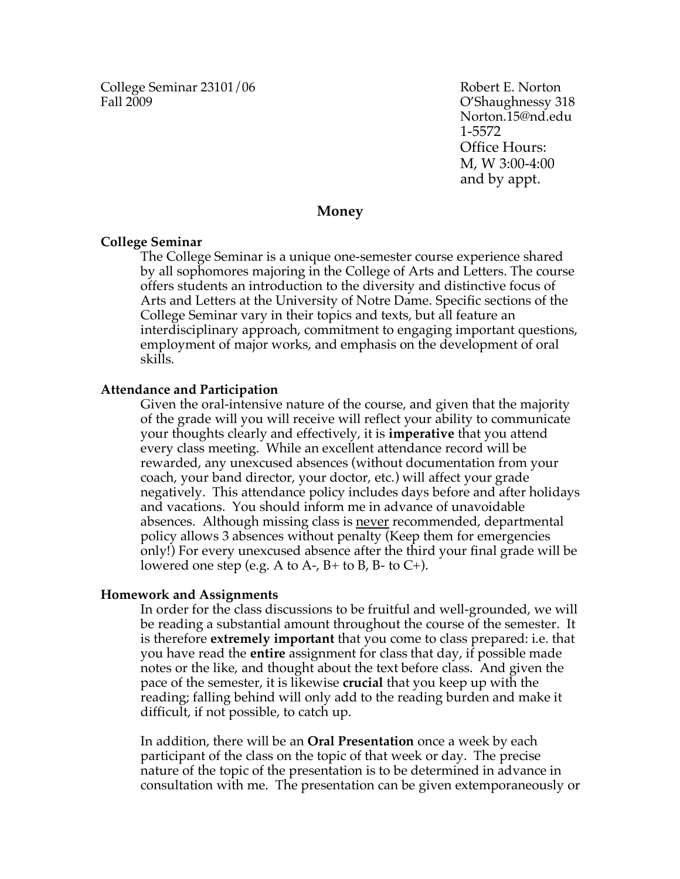College Seminar 23101/06 Robert E. Norton Fall 2009 C'Shaughnessy 318

Norton.15@nd.edu 1-5572 Office Hours: M, W 3:00-4:00 and by appt.

## **Money**

## **College Seminar**

The College Seminar is a unique one-semester course experience shared by all sophomores majoring in the College of Arts and Letters. The course offers students an introduction to the diversity and distinctive focus of Arts and Letters at the University of Notre Dame. Specific sections of the College Seminar vary in their topics and texts, but all feature an interdisciplinary approach, commitment to engaging important questions, employment of major works, and emphasis on the development of oral skills.

## **Attendance and Participation**

Given the oral-intensive nature of the course, and given that the majority of the grade will you will receive will reflect your ability to communicate your thoughts clearly and effectively, it is **imperative** that you attend every class meeting. While an excellent attendance record will be rewarded, any unexcused absences (without documentation from your coach, your band director, your doctor, etc.) will affect your grade negatively. This attendance policy includes days before and after holidays and vacations. You should inform me in advance of unavoidable absences. Although missing class is never recommended, departmental policy allows 3 absences without penalty (Keep them for emergencies only!) For every unexcused absence after the third your final grade will be lowered one step (e.g. A to A-,  $B$ + to B, B- to C+).

## **Homework and Assignments**

In order for the class discussions to be fruitful and well-grounded, we will be reading a substantial amount throughout the course of the semester. It is therefore **extremely important** that you come to class prepared: i.e. that you have read the **entire** assignment for class that day, if possible made notes or the like, and thought about the text before class. And given the pace of the semester, it is likewise **crucial** that you keep up with the reading; falling behind will only add to the reading burden and make it difficult, if not possible, to catch up.

In addition, there will be an **Oral Presentation** once a week by each participant of the class on the topic of that week or day. The precise nature of the topic of the presentation is to be determined in advance in consultation with me. The presentation can be given extemporaneously or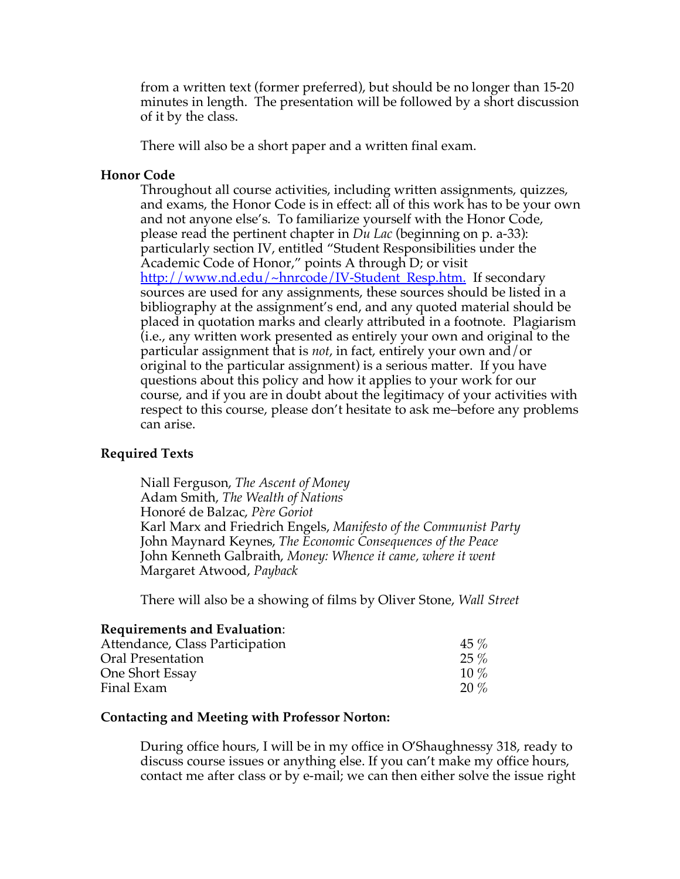from a written text (former preferred), but should be no longer than 15-20 minutes in length. The presentation will be followed by a short discussion of it by the class.

There will also be a short paper and a written final exam.

## **Honor Code**

Throughout all course activities, including written assignments, quizzes, and exams, the Honor Code is in effect: all of this work has to be your own and not anyone else's. To familiarize yourself with the Honor Code, please read the pertinent chapter in *Du Lac* (beginning on p. a-33): particularly section IV, entitled "Student Responsibilities under the Academic Code of Honor," points A through D; or visit http://www.nd.edu/~hnrcode/IV-Student\_Resp.htm. If secondary sources are used for any assignments, these sources should be listed in a bibliography at the assignment's end, and any quoted material should be placed in quotation marks and clearly attributed in a footnote. Plagiarism (i.e., any written work presented as entirely your own and original to the particular assignment that is *not*, in fact, entirely your own and/or original to the particular assignment) is a serious matter. If you have questions about this policy and how it applies to your work for our course, and if you are in doubt about the legitimacy of your activities with respect to this course, please don't hesitate to ask me–before any problems can arise.

## **Required Texts**

Niall Ferguson, *The Ascent of Money* Adam Smith, *The Wealth of Nations* Honoré de Balzac, *Père Goriot* Karl Marx and Friedrich Engels, *Manifesto of the Communist Party* John Maynard Keynes, *The Economic Consequences of the Peace* John Kenneth Galbraith, *Money: Whence it came, where it went* Margaret Atwood, *Payback*

There will also be a showing of films by Oliver Stone, *Wall Street* 

## **Requirements and Evaluation**:

| Attendance, Class Participation | $45\%$  |
|---------------------------------|---------|
| Oral Presentation               | $25\%$  |
| One Short Essay                 | $10\%$  |
| Final Exam                      | $20 \%$ |

## **Contacting and Meeting with Professor Norton:**

During office hours, I will be in my office in O'Shaughnessy 318, ready to discuss course issues or anything else. If you can't make my office hours, contact me after class or by e-mail; we can then either solve the issue right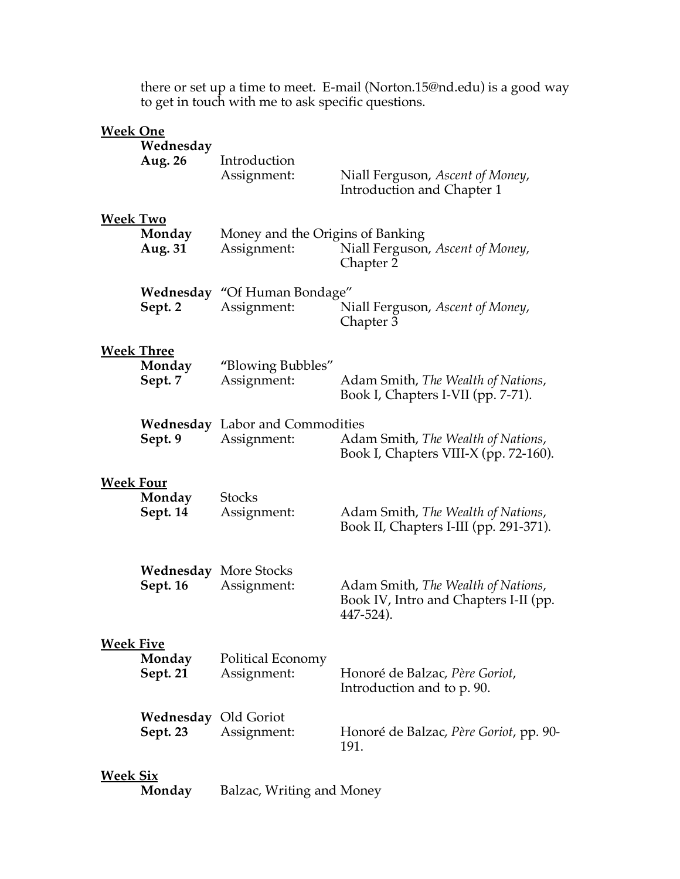|                                      | to get in touch with me to ask specific questions. |                                                                                                  |                                                                                          |
|--------------------------------------|----------------------------------------------------|--------------------------------------------------------------------------------------------------|------------------------------------------------------------------------------------------|
| <b>Week One</b>                      | Wednesday<br>Aug. 26                               | Introduction<br>Assignment:                                                                      | Niall Ferguson, Ascent of Money,<br>Introduction and Chapter 1                           |
| <b>Week Two</b><br>Monday<br>Aug. 31 |                                                    | Money and the Origins of Banking<br>Niall Ferguson, Ascent of Money,<br>Assignment:<br>Chapter 2 |                                                                                          |
|                                      | Sept. 2                                            | <b>Wednesday "Of Human Bondage"</b><br>Assignment:                                               | Niall Ferguson, Ascent of Money,<br>Chapter 3                                            |
|                                      | <b>Week Three</b><br>Monday<br>Sept. 7             | "Blowing Bubbles"<br>Assignment:                                                                 | Adam Smith, The Wealth of Nations,<br>Book I, Chapters I-VII (pp. 7-71).                 |
|                                      | Sept. 9                                            | <b>Wednesday</b> Labor and Commodities<br>Assignment:                                            | Adam Smith, The Wealth of Nations,<br>Book I, Chapters VIII-X (pp. 72-160).              |
| <b>Week Four</b>                     | Monday<br>Sept. 14                                 | <b>Stocks</b><br>Assignment:                                                                     | Adam Smith, The Wealth of Nations,<br>Book II, Chapters I-III (pp. 291-371).             |
|                                      | Sept. 16                                           | <b>Wednesday</b> More Stocks<br>Assignment:                                                      | Adam Smith, The Wealth of Nations,<br>Book IV, Intro and Chapters I-II (pp.<br>447-524). |
| <b>Week Five</b>                     | Monday<br>Sept. 21                                 | Political Economy<br>Assignment:                                                                 | Honoré de Balzac, Père Goriot,<br>Introduction and to p. 90.                             |
|                                      | Wednesday<br>Sept. 23                              | Old Goriot<br>Assignment:                                                                        | Honoré de Balzac, Père Goriot, pp. 90-<br>191.                                           |
| <b>Week Six</b>                      | Monday                                             | Balzac, Writing and Money                                                                        |                                                                                          |

there or set up a time to meet. E-mail (Norton.15@nd.edu) is a good way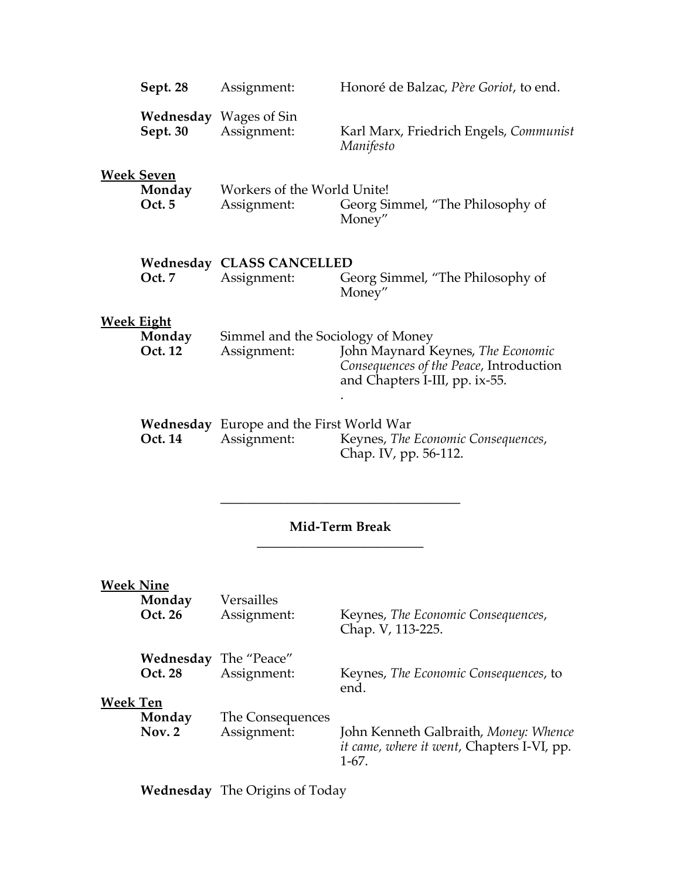|                  | Sept. 28                               | Assignment:                                                    | Honoré de Balzac, Père Goriot, to end.                                                                         |
|------------------|----------------------------------------|----------------------------------------------------------------|----------------------------------------------------------------------------------------------------------------|
|                  | Sept. 30                               | <b>Wednesday</b> Wages of Sin<br>Assignment:                   | Karl Marx, Friedrich Engels, Communist<br>Manifesto                                                            |
|                  | <b>Week Seven</b><br>Monday<br>Oct. 5  | Workers of the World Unite!<br>Assignment:                     | Georg Simmel, "The Philosophy of<br>Money"                                                                     |
|                  | Oct. 7                                 | <b>Wednesday CLASS CANCELLED</b><br>Assignment:                | Georg Simmel, "The Philosophy of<br>Money"                                                                     |
|                  | <b>Week Eight</b><br>Monday<br>Oct. 12 | Simmel and the Sociology of Money<br>Assignment:               | John Maynard Keynes, The Economic<br>Consequences of the Peace, Introduction<br>and Chapters I-III, pp. ix-55. |
|                  | Oct. 14                                | <b>Wednesday</b> Europe and the First World War<br>Assignment: | Keynes, The Economic Consequences,<br>Chap. IV, pp. 56-112.                                                    |
| Mid-Term Break   |                                        |                                                                |                                                                                                                |
| <u>Week Nine</u> | Monday<br>Oct. 26                      | Versailles<br>Assignment:                                      | Keynes, The Economic Consequences,<br>Chap. V, 113-225.                                                        |

**Oct. 28** Assignment: Keynes, *The Economic Consequences*, to end.

# **Week Ten**

| .<br>Monday<br><b>Nov. 2</b> | The Consequences<br>Assignment: | John Kenneth Galbraith, Money: Whence<br><i>it came, where it went, Chapters I-VI, pp.</i><br>$1-67.$ |
|------------------------------|---------------------------------|-------------------------------------------------------------------------------------------------------|
|                              |                                 |                                                                                                       |

**Wednesday** The Origins of Today

**Wednesday** The "Peace"